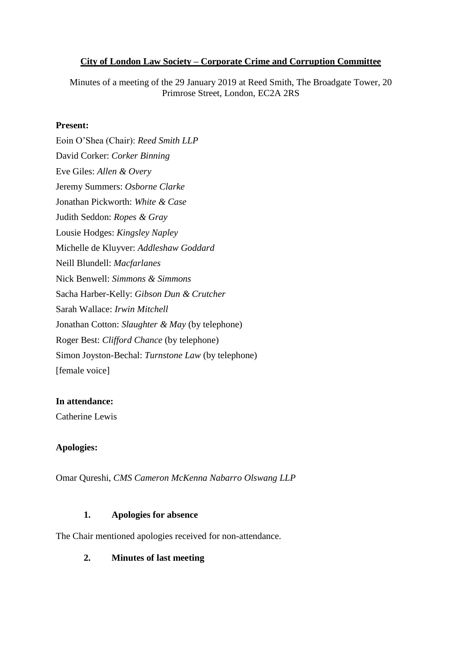## **City of London Law Society – Corporate Crime and Corruption Committee**

Minutes of a meeting of the 29 January 2019 at Reed Smith, The Broadgate Tower, 20 Primrose Street, London, EC2A 2RS

## **Present:**

Eoin O'Shea (Chair): *Reed Smith LLP* David Corker: *Corker Binning* Eve Giles: *Allen & Overy* Jeremy Summers: *Osborne Clarke* Jonathan Pickworth: *White & Case* Judith Seddon: *Ropes & Gray* Lousie Hodges: *Kingsley Napley* Michelle de Kluyver: *Addleshaw Goddard* Neill Blundell: *Macfarlanes* Nick Benwell: *Simmons & Simmons* Sacha Harber-Kelly: *Gibson Dun & Crutcher* Sarah Wallace: *Irwin Mitchell* Jonathan Cotton: *Slaughter & May* (by telephone) Roger Best: *Clifford Chance* (by telephone) Simon Joyston-Bechal: *Turnstone Law* (by telephone) [female voice]

## **In attendance:**

Catherine Lewis

# **Apologies:**

Omar Qureshi, *CMS Cameron McKenna Nabarro Olswang LLP*

## **1. Apologies for absence**

The Chair mentioned apologies received for non-attendance.

**2. Minutes of last meeting**